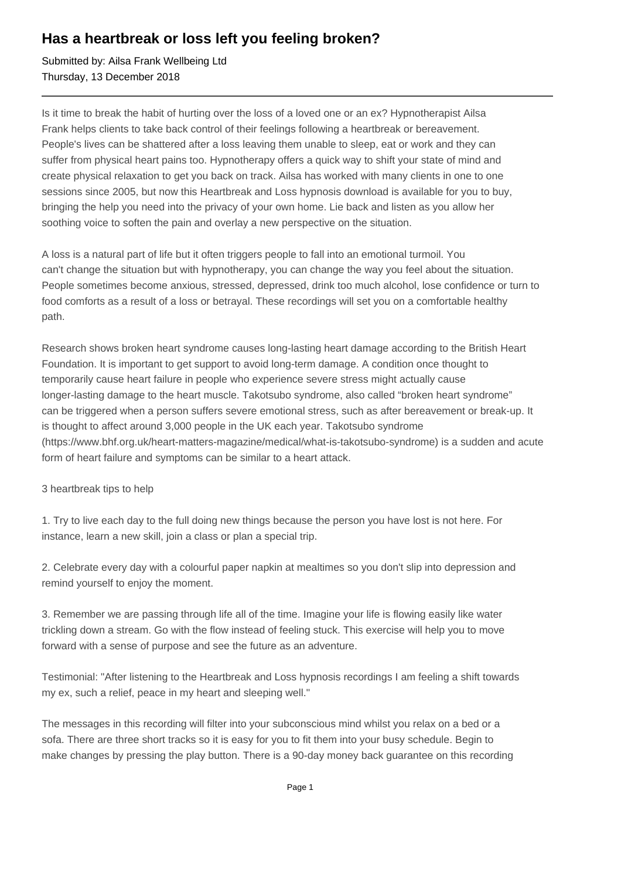## **Has a heartbreak or loss left you feeling broken?**

Submitted by: Ailsa Frank Wellbeing Ltd Thursday, 13 December 2018

Is it time to break the habit of hurting over the loss of a loved one or an ex? Hypnotherapist Ailsa Frank helps clients to take back control of their feelings following a heartbreak or bereavement. People's lives can be shattered after a loss leaving them unable to sleep, eat or work and they can suffer from physical heart pains too. Hypnotherapy offers a quick way to shift your state of mind and create physical relaxation to get you back on track. Ailsa has worked with many clients in one to one sessions since 2005, but now this Heartbreak and Loss hypnosis download is available for you to buy, bringing the help you need into the privacy of your own home. Lie back and listen as you allow her soothing voice to soften the pain and overlay a new perspective on the situation.

A loss is a natural part of life but it often triggers people to fall into an emotional turmoil. You can't change the situation but with hypnotherapy, you can change the way you feel about the situation. People sometimes become anxious, stressed, depressed, drink too much alcohol, lose confidence or turn to food comforts as a result of a loss or betrayal. These recordings will set you on a comfortable healthy path.

Research shows broken heart syndrome causes long-lasting heart damage according to the British Heart Foundation. It is important to get support to avoid long-term damage. A condition once thought to temporarily cause heart failure in people who experience severe stress might actually cause longer-lasting damage to the heart muscle. Takotsubo syndrome, also called "broken heart syndrome" can be triggered when a person suffers severe emotional stress, such as after bereavement or break-up. It is thought to affect around 3,000 people in the UK each year. Takotsubo syndrome (https://www.bhf.org.uk/heart-matters-magazine/medical/what-is-takotsubo-syndrome) is a sudden and acute form of heart failure and symptoms can be similar to a heart attack.

3 heartbreak tips to help

1. Try to live each day to the full doing new things because the person you have lost is not here. For instance, learn a new skill, join a class or plan a special trip.

2. Celebrate every day with a colourful paper napkin at mealtimes so you don't slip into depression and remind yourself to enjoy the moment.

3. Remember we are passing through life all of the time. Imagine your life is flowing easily like water trickling down a stream. Go with the flow instead of feeling stuck. This exercise will help you to move forward with a sense of purpose and see the future as an adventure.

Testimonial: "After listening to the Heartbreak and Loss hypnosis recordings I am feeling a shift towards my ex, such a relief, peace in my heart and sleeping well."

The messages in this recording will filter into your subconscious mind whilst you relax on a bed or a sofa. There are three short tracks so it is easy for you to fit them into your busy schedule. Begin to make changes by pressing the play button. There is a 90-day money back guarantee on this recording